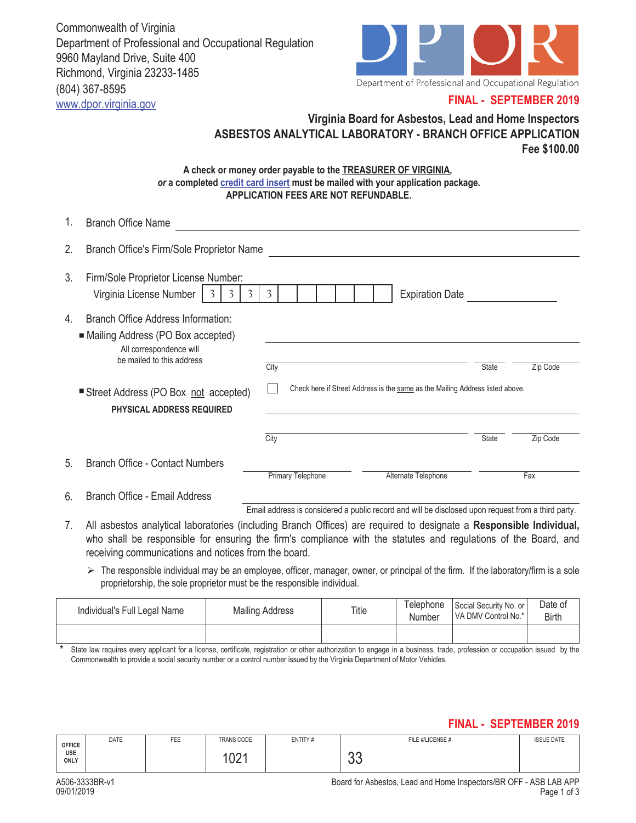Commonwealth of Virginia Department of Professional and Occupational Regulation 9960 Mayland Drive, Suite 400 Richmond, Virginia 23233-1485 (804) 367-8595 www.dpor.virginia.gov



## **FINAL - SEPTEMBER 2019**

# **Virginia Board for Asbestos, Lead and Home Inspectors ASBESTOS ANALYTICAL LABORATORY - BRANCH OFFICE APPLICATION Fee \$100.00**

#### **A check or money order payable to the TREASURER OF VIRGINIA,**  *or* **a completed credit card insert must be mailed with your application package. APPLICATION FEES ARE NOT REFUNDABLE.**

| 1. | <b>Branch Office Name</b>                                                                                                         |                                                                               |              |          |
|----|-----------------------------------------------------------------------------------------------------------------------------------|-------------------------------------------------------------------------------|--------------|----------|
| 2. | Branch Office's Firm/Sole Proprietor Name                                                                                         |                                                                               |              |          |
| 3. | Firm/Sole Proprietor License Number:<br>Virginia License Number<br>3<br>3<br>$\overline{3}$                                       | <b>Expiration Date</b><br>3                                                   |              |          |
| 4. | Branch Office Address Information:<br>■ Mailing Address (PO Box accepted)<br>All correspondence will<br>be mailed to this address | City                                                                          | State        | Zip Code |
|    | Street Address (PO Box not accepted)<br><b>PHYSICAL ADDRESS REQUIRED</b>                                                          | Check here if Street Address is the same as the Mailing Address listed above. |              |          |
|    |                                                                                                                                   | City                                                                          | <b>State</b> | Zip Code |
| 5. | <b>Branch Office - Contact Numbers</b>                                                                                            | Primary Telephone<br>Alternate Telephone                                      |              | Fax      |
| 6. | Branch Office - Email Address                                                                                                     |                                                                               |              |          |

Email address is considered a public record and will be disclosed upon request from a third party.

- 7. All asbestos analytical laboratories (including Branch Offices) are required to designate a **Responsible Individual,**  who shall be responsible for ensuring the firm's compliance with the statutes and regulations of the Board, and receiving communications and notices from the board.
	- $\triangleright$  The responsible individual may be an employee, officer, manager, owner, or principal of the firm. If the laboratory/firm is a sole proprietorship, the sole proprietor must be the responsible individual.

| Individual's Full Legal Name | <b>Mailing Address</b> | Title | Telephone<br>Number | Social Security No. or<br>VA DMV Control No.* | Date of<br>Birth |
|------------------------------|------------------------|-------|---------------------|-----------------------------------------------|------------------|
|                              |                        |       |                     |                                               |                  |

\* State law requires every applicant for a license, certificate, registration or other authorization to engage in a business, trade, profession or occupation issued by the Commonwealth to provide a social security number or a control number issued by the Virginia Department of Motor Vehicles.

## **FINAL - SEPTEMBER 2019**

|                       | <b>DATE</b> | FEE | <b>TRANS CODE</b> | ENTITY# | FILE #/LICENSE # | <b>ISSUE DATE</b> |
|-----------------------|-------------|-----|-------------------|---------|------------------|-------------------|
| OFFICE<br>USE<br>ONLY |             |     | $\bigcap$<br>UZ I |         | $\sim$<br>vu     |                   |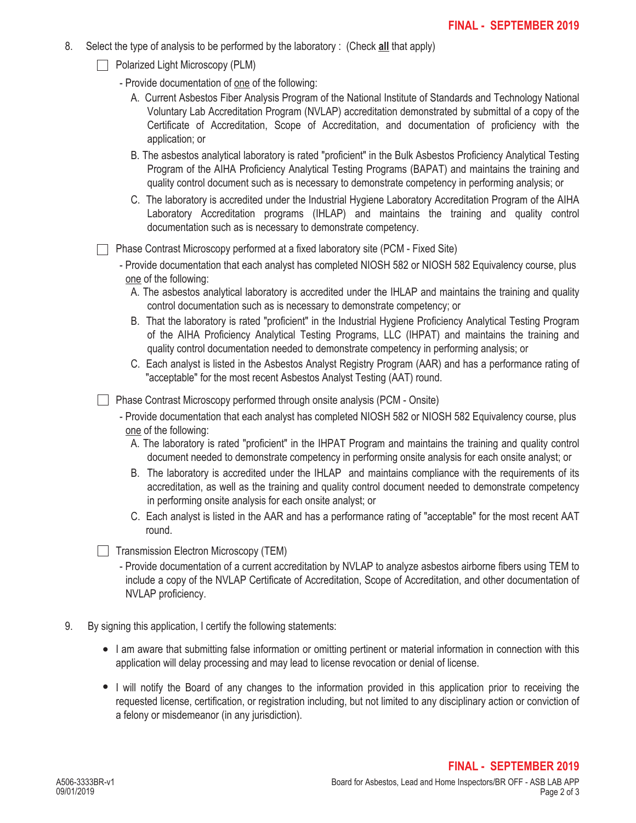- 8. Select the type of analysis to be performed by the laboratory : (Check **all** that apply)
	- $\Box$  Polarized Light Microscopy (PLM)
		- Provide documentation of one of the following:
			- A. Current Asbestos Fiber Analysis Program of the National Institute of Standards and Technology National Voluntary Lab Accreditation Program (NVLAP) accreditation demonstrated by submittal of a copy of the Certificate of Accreditation, Scope of Accreditation, and documentation of proficiency with the application; or
			- B. The asbestos analytical laboratory is rated "proficient" in the Bulk Asbestos Proficiency Analytical Testing Program of the AIHA Proficiency Analytical Testing Programs (BAPAT) and maintains the training and quality control document such as is necessary to demonstrate competency in performing analysis; or
			- C. The laboratory is accredited under the Industrial Hygiene Laboratory Accreditation Program of the AIHA Laboratory Accreditation programs (IHLAP) and maintains the training and quality control documentation such as is necessary to demonstrate competency.
	- Phase Contrast Microscopy performed at a fixed laboratory site (PCM Fixed Site)
		- Provide documentation that each analyst has completed NIOSH 582 or NIOSH 582 Equivalency course, plus one of the following:
			- A. The asbestos analytical laboratory is accredited under the IHLAP and maintains the training and quality control documentation such as is necessary to demonstrate competency; or
			- B. That the laboratory is rated "proficient" in the Industrial Hygiene Proficiency Analytical Testing Program of the AIHA Proficiency Analytical Testing Programs, LLC (IHPAT) and maintains the training and quality control documentation needed to demonstrate competency in performing analysis; or
			- C. Each analyst is listed in the Asbestos Analyst Registry Program (AAR) and has a performance rating of "acceptable" for the most recent Asbestos Analyst Testing (AAT) round.

Phase Contrast Microscopy performed through onsite analysis (PCM - Onsite)

- Provide documentation that each analyst has completed NIOSH 582 or NIOSH 582 Equivalency course, plus one of the following:
	- A. The laboratory is rated "proficient" in the IHPAT Program and maintains the training and quality control document needed to demonstrate competency in performing onsite analysis for each onsite analyst; or
	- B. The laboratory is accredited under the IHLAP and maintains compliance with the requirements of its accreditation, as well as the training and quality control document needed to demonstrate competency in performing onsite analysis for each onsite analyst; or
	- C. Each analyst is listed in the AAR and has a performance rating of "acceptable" for the most recent AAT round.

 $\Box$  Transmission Electron Microscopy (TEM)

- Provide documentation of a current accreditation by NVLAP to analyze asbestos airborne fibers using TEM to include a copy of the NVLAP Certificate of Accreditation, Scope of Accreditation, and other documentation of NVLAP proficiency.
- 9. By signing this application, I certify the following statements:
	- I am aware that submitting false information or omitting pertinent or material information in connection with this application will delay processing and may lead to license revocation or denial of license.
	- I will notify the Board of any changes to the information provided in this application prior to receiving the requested license, certification, or registration including, but not limited to any disciplinary action or conviction of a felony or misdemeanor (in any jurisdiction).